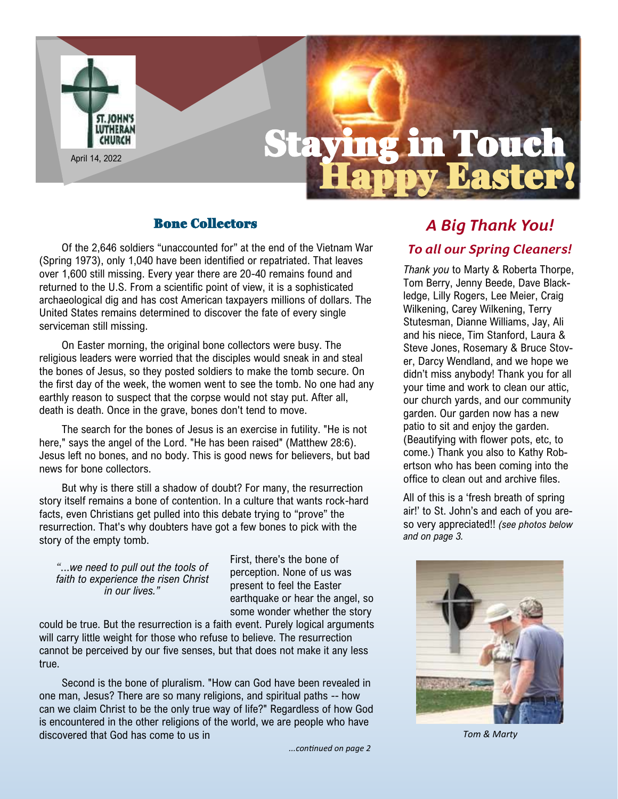

# Bone Collectors

Of the 2,646 soldiers "unaccounted for" at the end of the Vietnam War (Spring 1973), only 1,040 have been identified or repatriated. That leaves over 1,600 still missing. Every year there are 20-40 remains found and returned to the U.S. From a scientific point of view, it is a sophisticated archaeological dig and has cost American taxpayers millions of dollars. The United States remains determined to discover the fate of every single serviceman still missing.

On Easter morning, the original bone collectors were busy. The religious leaders were worried that the disciples would sneak in and steal the bones of Jesus, so they posted soldiers to make the tomb secure. On the first day of the week, the women went to see the tomb. No one had any earthly reason to suspect that the corpse would not stay put. After all, death is death. Once in the grave, bones don't tend to move.

The search for the bones of Jesus is an exercise in futility. "He is not here," says the angel of the Lord. "He has been raised" (Matthew 28:6). Jesus left no bones, and no body. This is good news for believers, but bad news for bone collectors.

But why is there still a shadow of doubt? For many, the resurrection story itself remains a bone of contention. In a culture that wants rock-hard facts, even Christians get pulled into this debate trying to "prove" the resurrection. That's why doubters have got a few bones to pick with the story of the empty tomb.

*"...we need to pull out the tools of faith to experience the risen Christ in our lives."*

First, there's the bone of perception. None of us was present to feel the Easter earthquake or hear the angel, so some wonder whether the story

could be true. But the resurrection is a faith event. Purely logical arguments will carry little weight for those who refuse to believe. The resurrection cannot be perceived by our five senses, but that does not make it any less true.

Second is the bone of pluralism. "How can God have been revealed in one man, Jesus? There are so many religions, and spiritual paths -- how can we claim Christ to be the only true way of life?" Regardless of how God is encountered in the other religions of the world, we are people who have discovered that God has come to us in

*...continued on page 2*

# *A Big Thank You! To all our Spring Cleaners!*

*Thank you* to Marty & Roberta Thorpe, Tom Berry, Jenny Beede, Dave Blackledge, Lilly Rogers, Lee Meier, Craig Wilkening, Carey Wilkening, Terry Stutesman, Dianne Williams, Jay, Ali and his niece, Tim Stanford, Laura & Steve Jones, Rosemary & Bruce Stover, Darcy Wendland, and we hope we didn't miss anybody! Thank you for all your time and work to clean our attic, our church yards, and our community garden. Our garden now has a new patio to sit and enjoy the garden. (Beautifying with flower pots, etc, to come.) Thank you also to Kathy Robertson who has been coming into the office to clean out and archive files.

All of this is a 'fresh breath of spring air!' to St. John's and each of you areso very appreciated!! *(see photos below and on page 3.*



*Tom & Marty*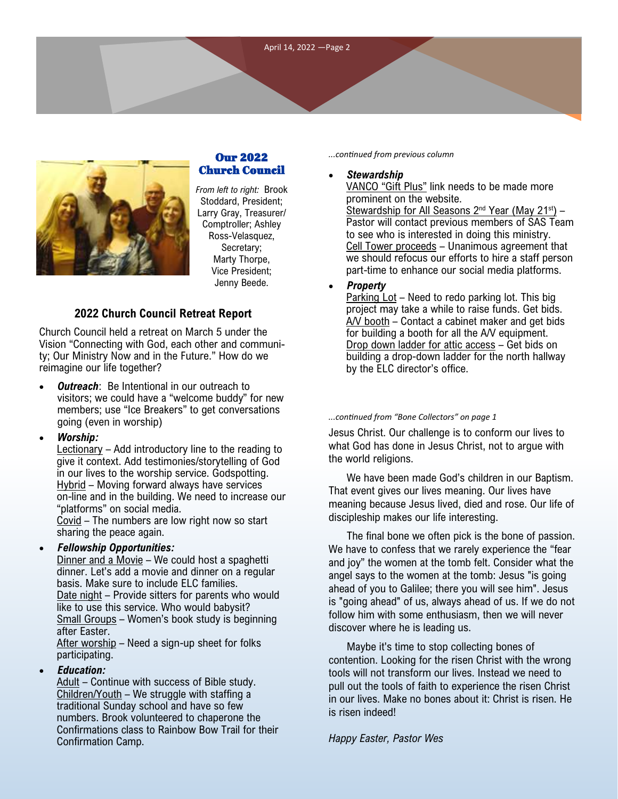

# Our 2022 Church Council

*From left to right:* Brook Stoddard, President; Larry Gray, Treasurer/ Comptroller; Ashley Ross-Velasquez, Secretary; Marty Thorpe, Vice President; Jenny Beede.

# **2022 Church Council Retreat Report**

Church Council held a retreat on March 5 under the Vision "Connecting with God, each other and community; Our Ministry Now and in the Future." How do we reimagine our life together?

- **Outreach:** Be Intentional in our outreach to visitors; we could have a "welcome buddy" for new members; use "Ice Breakers" to get conversations going (even in worship)
- *Worship:*

Lectionary – Add introductory line to the reading to give it context. Add testimonies/storytelling of God in our lives to the worship service. Godspotting. Hybrid – Moving forward always have services on-line and in the building. We need to increase our "platforms" on social media.

Covid – The numbers are low right now so start sharing the peace again.

#### • *Fellowship Opportunities:*

Dinner and a Movie - We could host a spaghetti dinner. Let's add a movie and dinner on a regular basis. Make sure to include ELC families. Date night – Provide sitters for parents who would like to use this service. Who would babysit? Small Groups – Women's book study is beginning after Easter.

After worship - Need a sign-up sheet for folks participating.

#### • *Education:*

Adult - Continue with success of Bible study. Children/Youth – We struggle with staffing a traditional Sunday school and have so few numbers. Brook volunteered to chaperone the Confirmations class to Rainbow Bow Trail for their Confirmation Camp.

*...continued from previous column*

### • *Stewardship*

VANCO "Gift Plus" link needs to be made more prominent on the website. Stewardship for All Seasons  $2^{nd}$  Year (May  $21^{st}$ ) – Pastor will contact previous members of SAS Team to see who is interested in doing this ministry. Cell Tower proceeds – Unanimous agreement that we should refocus our efforts to hire a staff person part-time to enhance our social media platforms.

• *Property*

Parking Lot – Need to redo parking lot. This big project may take a while to raise funds. Get bids. A/V booth – Contact a cabinet maker and get bids for building a booth for all the A/V equipment. Drop down ladder for attic access – Get bids on building a drop-down ladder for the north hallway by the ELC director's office.

#### *...continued from "Bone Collectors" on page 1*

Jesus Christ. Our challenge is to conform our lives to what God has done in Jesus Christ, not to argue with the world religions.

We have been made God's children in our Baptism. That event gives our lives meaning. Our lives have meaning because Jesus lived, died and rose. Our life of discipleship makes our life interesting.

The final bone we often pick is the bone of passion. We have to confess that we rarely experience the "fear and joy" the women at the tomb felt. Consider what the angel says to the women at the tomb: Jesus "is going ahead of you to Galilee; there you will see him". Jesus is "going ahead" of us, always ahead of us. If we do not follow him with some enthusiasm, then we will never discover where he is leading us.

Maybe it's time to stop collecting bones of contention. Looking for the risen Christ with the wrong tools will not transform our lives. Instead we need to pull out the tools of faith to experience the risen Christ in our lives. Make no bones about it: Christ is risen. He is risen indeed!

*Happy Easter, Pastor Wes*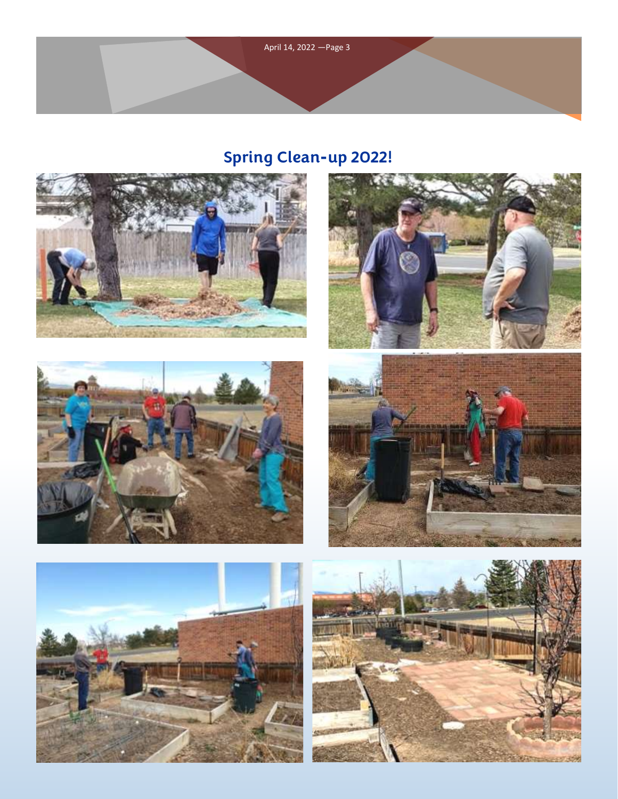

# **Spring Clean-up 2022!**











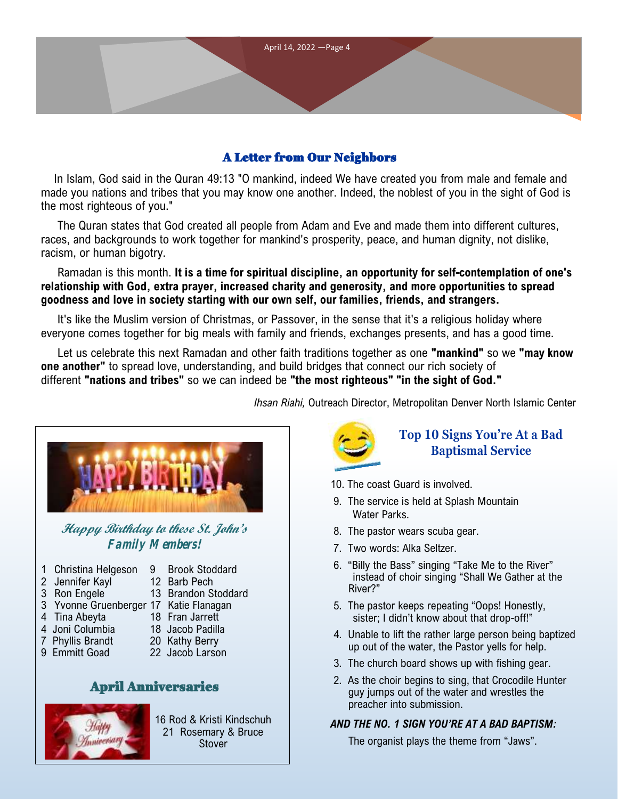

# A Letter from Our Neighbors

In Islam, God said in the Quran 49:13 "O mankind, indeed We have created you from male and female and made you nations and tribes that you may know one another. Indeed, the noblest of you in the sight of God is the most righteous of you."

The Quran states that God created all people from Adam and Eve and made them into different cultures, races, and backgrounds to work together for mankind's prosperity, peace, and human dignity, not dislike, racism, or human bigotry.

## Ramadan is this month. **It is a time for spiritual discipline, an opportunity for self-contemplation of one's relationship with God, extra prayer, increased charity and generosity, and more opportunities to spread goodness and love in society starting with our own self, our families, friends, and strangers.**

It's like the Muslim version of Christmas, or Passover, in the sense that it's a religious holiday where everyone comes together for big meals with family and friends, exchanges presents, and has a good time.

Let us celebrate this next Ramadan and other faith traditions together as one **"mankind"** so we **"may know one another"** to spread love, understanding, and build bridges that connect our rich society of different **"nations and tribes"** so we can indeed be **"the most righteous" "in the sight of God."**

*Ihsan Riahi,* Outreach Director, Metropolitan Denver North Islamic Center



**Happy Birthday to these St. John's Family Members!**

- 1 Christina Helgeson 9 Brook Stoddard
- 2 Jennifer Kayl 12 Barb Pech
- 3 Ron Engele 13 Brandon Stoddard
- 3 Yvonne Gruenberger 17 Katie Flanagan
- 4 Tina Abeyta 18 Fran Jarrett
- 4 Joni Columbia 18 Jacob Padilla
- 7 Phyllis Brandt 20 Kathy Berry
	-
- 9 Emmitt Goad 22 Jacob Larson

# April Anniversaries



16 Rod & Kristi Kindschuh 21 Rosemary & Bruce **Stover** 



# **Top 10 Signs You're At a Bad Baptismal Service**

- 10. The coast Guard is involved.
- 9. The service is held at Splash Mountain Water Parks.
- 8. The pastor wears scuba gear.
- 7. Two words: Alka Seltzer.
- 6. "Billy the Bass" singing "Take Me to the River" instead of choir singing "Shall We Gather at the River?"
- 5. The pastor keeps repeating "Oops! Honestly, sister; I didn't know about that drop-off!"
- 4. Unable to lift the rather large person being baptized up out of the water, the Pastor yells for help.
- 3. The church board shows up with fishing gear.
- 2. As the choir begins to sing, that Crocodile Hunter guy jumps out of the water and wrestles the preacher into submission.

# *AND THE NO. 1 SIGN YOU'RE AT A BAD BAPTISM:*

The organist plays the theme from "Jaws".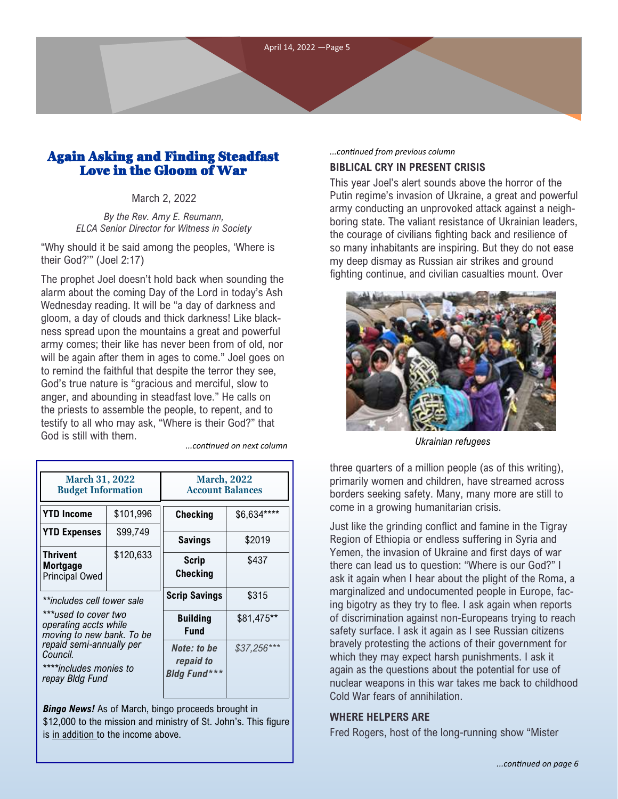# Again Asking and Finding Steadfast Love in the Gloom of War

#### March 2, 2022

*By the Rev. Amy E. Reumann, ELCA Senior Director for Witness in Society*

"Why should it be said among the peoples, 'Where is their God?'" (Joel 2:17)

The prophet Joel doesn't hold back when sounding the alarm about the coming Day of the Lord in today's Ash Wednesday reading. It will be "a day of darkness and gloom, a day of clouds and thick darkness! Like blackness spread upon the mountains a great and powerful army comes; their like has never been from of old, nor will be again after them in ages to come." Joel goes on to remind the faithful that despite the terror they see, God's true nature is "gracious and merciful, slow to anger, and abounding in steadfast love." He calls on the priests to assemble the people, to repent, and to testify to all who may ask, "Where is their God?" that God is still with them.

| <b>March, 2022</b><br><b>Account Balances</b>   |              |
|-------------------------------------------------|--------------|
|                                                 |              |
| Checking                                        | \$6,634****  |
| <b>Savings</b>                                  | \$2019       |
| Scrip<br><b>Checking</b>                        | \$437        |
| <b>Scrip Savings</b>                            | \$315        |
| <b>Building</b><br><b>Fund</b>                  | \$81,475**   |
| Note: to be<br>repaid to<br><b>Bldg Fund***</b> | $$37,256***$ |
|                                                 |              |

*Bingo News!* As of March, bingo proceeds brought in \$12,000 to the mission and ministry of St. John's. This figure is in addition to the income above.

#### **BIBLICAL CRY IN PRESENT CRISIS** *...continued from previous column*

This year Joel's alert sounds above the horror of the Putin regime's invasion of Ukraine, a great and powerful army conducting an unprovoked attack against a neighboring state. The valiant resistance of Ukrainian leaders, the courage of civilians fighting back and resilience of so many inhabitants are inspiring. But they do not ease my deep dismay as Russian air strikes and ground fighting continue, and civilian casualties mount. Over



*Ukrainian refugees ...continued on next column*

three quarters of a million people (as of this writing), primarily women and children, have streamed across borders seeking safety. Many, many more are still to come in a growing humanitarian crisis.

Just like the grinding conflict and famine in the Tigray Region of Ethiopia or endless suffering in Syria and Yemen, the invasion of Ukraine and first days of war there can lead us to question: "Where is our God?" I ask it again when I hear about the plight of the Roma, a marginalized and undocumented people in Europe, facing bigotry as they try to flee. I ask again when reports of discrimination against non-Europeans trying to reach safety surface. I ask it again as I see Russian citizens bravely protesting the actions of their government for which they may expect harsh punishments. I ask it again as the questions about the potential for use of nuclear weapons in this war takes me back to childhood Cold War fears of annihilation.

#### **WHERE HELPERS ARE**

Fred Rogers, host of the long-running show "Mister